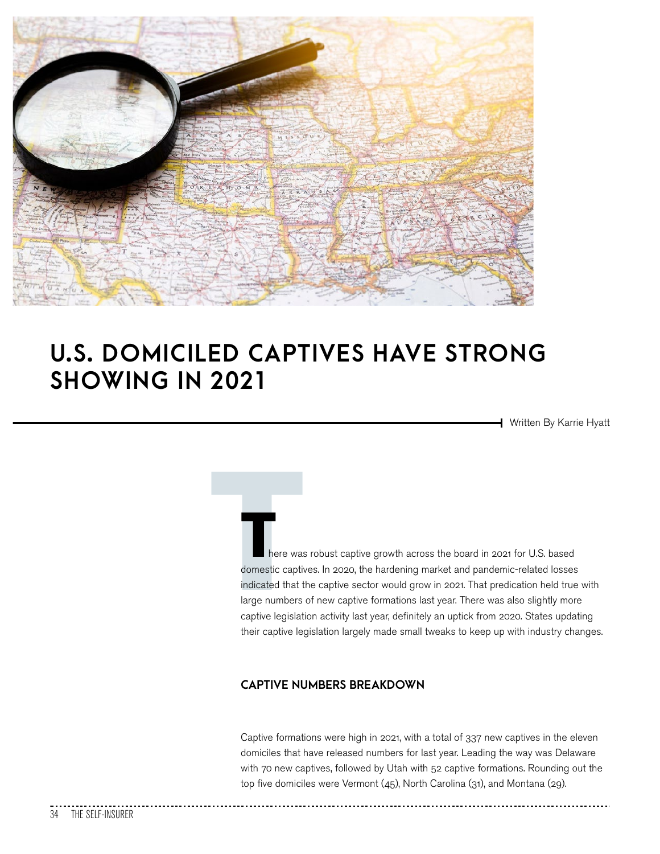

## **U.S. DOMICILED CAPTIVES HAVE STRONG SHOWING IN 2021**

Written By Karrie Hyatt

There was<br>
domestic captive<br>
indicated that the large numbers<br>
captive legislat here was robust captive growth across the board in 2021 for U.S. based domestic captives. In 2020, the hardening market and pandemic-related losses indicated that the captive sector would grow in 2021. That predication held true with large numbers of new captive formations last year. There was also slightly more captive legislation activity last year, definitely an uptick from 2020. States updating their captive legislation largely made small tweaks to keep up with industry changes.

### **CAPTIVE NUMBERS BREAKDOWN**

Captive formations were high in 2021, with a total of 337 new captives in the eleven domiciles that have released numbers for last year. Leading the way was Delaware with 70 new captives, followed by Utah with 52 captive formations. Rounding out the top five domiciles were Vermont (45), North Carolina (31), and Montana (29).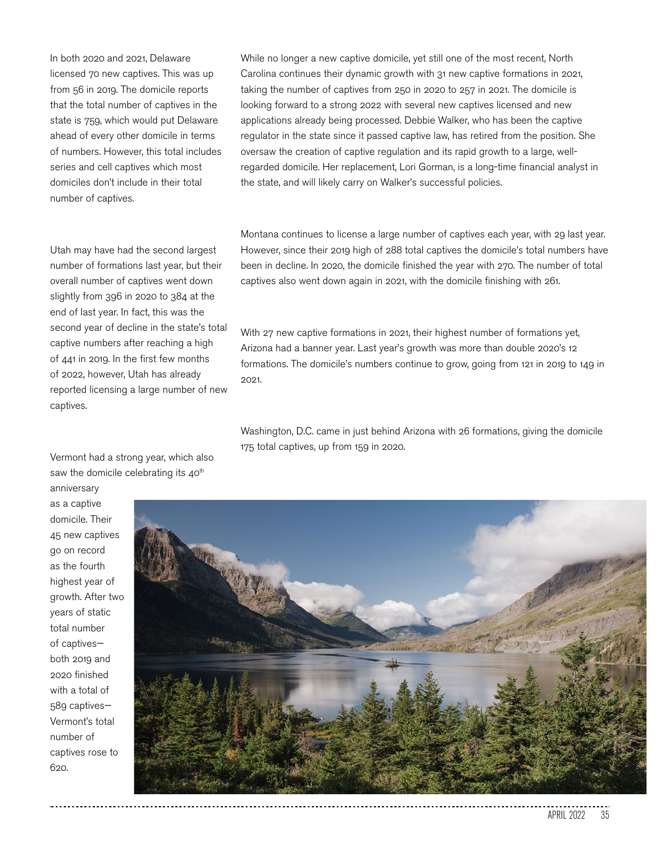In both 2020 and 2021, Delaware licensed 70 new captives. This was up from 56 in 2019. The domicile reports that the total number of captives in the state is 759, which would put Delaware ahead of every other domicile in terms of numbers. However, this total includes series and cell captives which most domiciles don't include in their total number of captives.

Utah may have had the second largest number of formations last year, but their overall number of captives went down slightly from 396 in 2020 to 384 at the end of last year. In fact, this was the second year of decline in the state's total captive numbers after reaching a high of 441 in 2019. In the first few months of 2022, however, Utah has already reported licensing a large number of new captives.

Vermont had a strong year, which also saw the domicile celebrating its  $40<sup>th</sup>$ anniversary

as a captive domicile. Their 45 new captives go on record as the fourth highest year of growth. After two years of static total number of captives both 2019 and 2020 finished with a total of 589 captives— Vermont's total number of captives rose to 620.

While no longer a new captive domicile, yet still one of the most recent, North Carolina continues their dynamic growth with 31 new captive formations in 2021, taking the number of captives from 250 in 2020 to 257 in 2021. The domicile is looking forward to a strong 2022 with several new captives licensed and new applications already being processed. Debbie Walker, who has been the captive regulator in the state since it passed captive law, has retired from the position. She oversaw the creation of captive regulation and its rapid growth to a large, wellregarded domicile. Her replacement, Lori Gorman, is a long-time financial analyst in the state, and will likely carry on Walker's successful policies.

Montana continues to license a large number of captives each year, with 29 last year. However, since their 2019 high of 288 total captives the domicile's total numbers have been in decline. In 2020, the domicile finished the year with 270. The number of total captives also went down again in 2021, with the domicile finishing with 261.

With 27 new captive formations in 2021, their highest number of formations yet, Arizona had a banner year. Last year's growth was more than double 2020's 12 formations. The domicile's numbers continue to grow, going from 121 in 2019 to 149 in 2021.

Washington, D.C. came in just behind Arizona with 26 formations, giving the domicile 175 total captives, up from 159 in 2020.

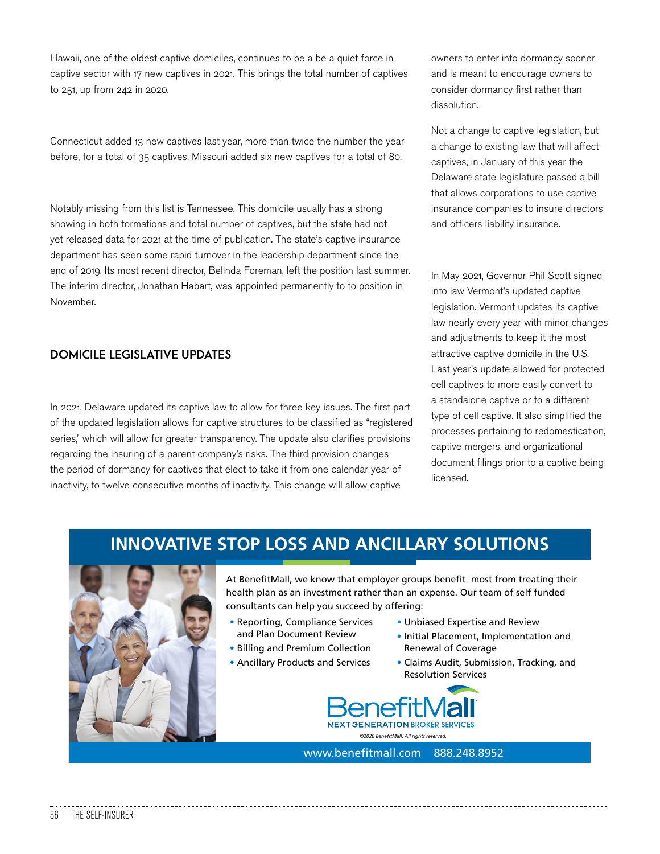Hawaii, one of the oldest captive domiciles, continues to be a be a quiet force in captive sector with 17 new captives in 2021. This brings the total number of captives to 251, up from 242 in 2020.

Connecticut added 13 new captives last year, more than twice the number the year before, for a total of 35 captives. Missouri added six new captives for a total of 80.

Notably missing from this list is Tennessee. This domicile usually has a strong showing in both formations and total number of captives, but the state had not yet released data for 2021 at the time of publication. The state's captive insurance department has seen some rapid turnover in the leadership department since the end of 2019. Its most recent director, Belinda Foreman, left the position last summer. The interim director, Jonathan Habart, was appointed permanently to to position in November.

### **DOMICILE LEGISLATIVE UPDATES**

In 2021, Delaware updated its captive law to allow for three key issues. The first part of the updated legislation allows for captive structures to be classified as "registered series," which will allow for greater transparency. The update also clarifies provisions regarding the insuring of a parent company's risks. The third provision changes the period of dormancy for captives that elect to take it from one calendar year of inactivity, to twelve consecutive months of inactivity. This change will allow captive

owners to enter into dormancy sooner and is meant to encourage owners to consider dormancy first rather than dissolution.

Not a change to captive legislation, but a change to existing law that will affect captives, in January of this year the Delaware state legislature passed a bill that allows corporations to use captive insurance companies to insure directors and officers liability insurance.

In May 2021, Governor Phil Scott signed into law Vermont's updated captive legislation. Vermont updates its captive law nearly every year with minor changes and adjustments to keep it the most attractive captive domicile in the U.S. Last year's update allowed for protected cell captives to more easily convert to a standalone captive or to a different type of cell captive. It also simplified the processes pertaining to redomestication, captive mergers, and organizational document filings prior to a captive being licensed.

### **INNOVATIVE STOP LOSS AND ANCILLARY SOLUTIONS**



At BenefitMall, we know that employer groups benefit most from treating their health plan as an investment rather than an expense. Our team of self funded consultants can help you succeed by offering:

- Reporting, Compliance Services and Plan Document Review
- Billing and Premium Collection
- Ancillary Products and Services
- Unbiased Expertise and Review
- Initial Placement, Implementation and Renewal of Coverage
- Claims Audit, Submission, Tracking, and Resolution Services



www.benefitmall.com 888.248.8952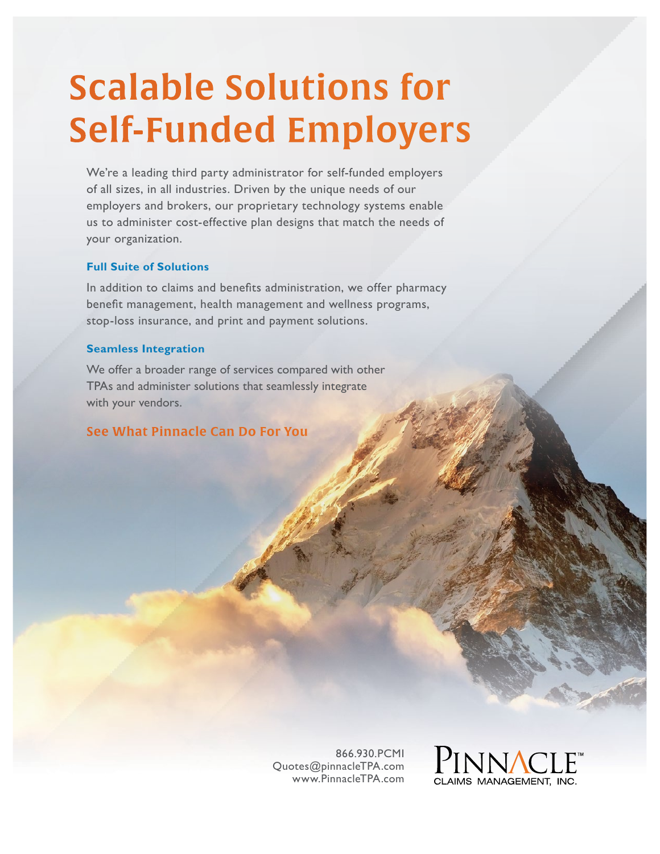# Scalable Solutions for Self-Funded Employers

We're a leading third party administrator for self-funded employers of all sizes, in all industries. Driven by the unique needs of our employers and brokers, our proprietary technology systems enable us to administer cost-effective plan designs that match the needs of your organization.

### **Full Suite of Solutions**

In addition to claims and benefits administration, we offer pharmacy benefit management, health management and wellness programs, stop-loss insurance, and print and payment solutions.

#### **Seamless Integration**

We offer a broader range of services compared with other TPAs and administer solutions that seamlessly integrate with your vendors.

### See What Pinnacle Can Do For You

866.930.PCMI Quotes@pinnacleTPA.com www.PinnacleTPA.com